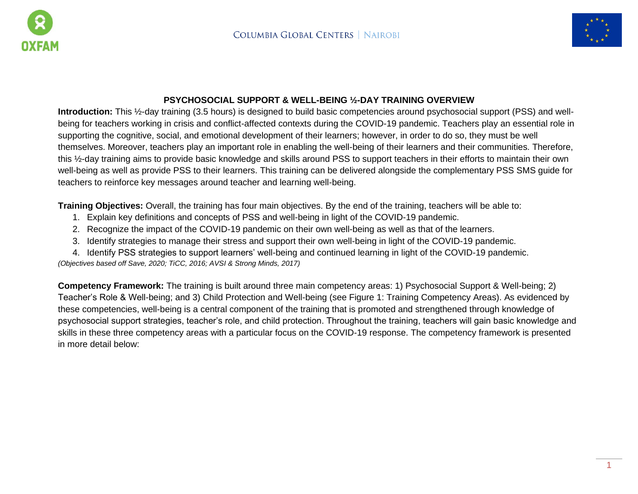



### **PSYCHOSOCIAL SUPPORT & WELL-BEING ½-DAY TRAINING OVERVIEW**

**Introduction:** This ½-day training (3.5 hours) is designed to build basic competencies around psychosocial support (PSS) and wellbeing for teachers working in crisis and conflict-affected contexts during the COVID-19 pandemic. Teachers play an essential role in supporting the cognitive, social, and emotional development of their learners; however, in order to do so, they must be well themselves. Moreover, teachers play an important role in enabling the well-being of their learners and their communities. Therefore, this ½-day training aims to provide basic knowledge and skills around PSS to support teachers in their efforts to maintain their own well-being as well as provide PSS to their learners. This training can be delivered alongside the complementary PSS SMS guide for teachers to reinforce key messages around teacher and learning well-being.

**Training Objectives:** Overall, the training has four main objectives. By the end of the training, teachers will be able to:

- 1. Explain key definitions and concepts of PSS and well-being in light of the COVID-19 pandemic.
- 2. Recognize the impact of the COVID-19 pandemic on their own well-being as well as that of the learners.
- 3. Identify strategies to manage their stress and support their own well-being in light of the COVID-19 pandemic.
- 4. Identify PSS strategies to support learners' well-being and continued learning in light of the COVID-19 pandemic.

*(Objectives based off Save, 2020; TiCC, 2016; AVSI & Strong Minds, 2017)*

**Competency Framework:** The training is built around three main competency areas: 1) Psychosocial Support & Well-being; 2) Teacher's Role & Well-being; and 3) Child Protection and Well-being (see Figure 1: Training Competency Areas). As evidenced by these competencies, well-being is a central component of the training that is promoted and strengthened through knowledge of psychosocial support strategies, teacher's role, and child protection. Throughout the training, teachers will gain basic knowledge and skills in these three competency areas with a particular focus on the COVID-19 response. The competency framework is presented in more detail below: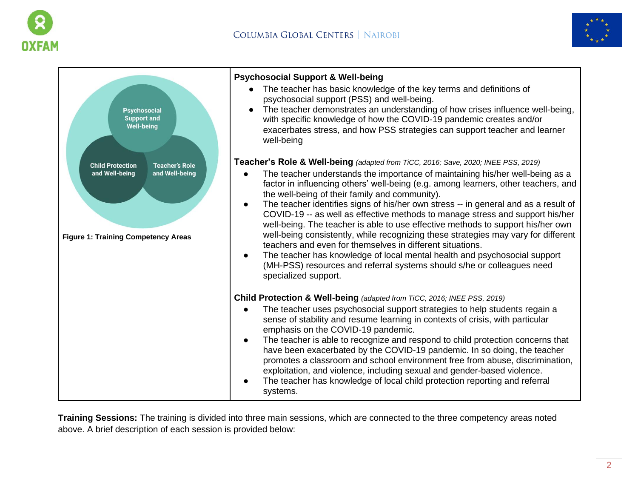



| <b>Psychosocial</b><br><b>Support and</b><br><b>Well-being</b>                                                                     | <b>Psychosocial Support &amp; Well-being</b><br>The teacher has basic knowledge of the key terms and definitions of<br>$\bullet$<br>psychosocial support (PSS) and well-being.<br>The teacher demonstrates an understanding of how crises influence well-being,<br>$\bullet$<br>with specific knowledge of how the COVID-19 pandemic creates and/or<br>exacerbates stress, and how PSS strategies can support teacher and learner<br>well-being                                                                                                                                                                                                                                                                                                                                                                                                                                                                                   |
|------------------------------------------------------------------------------------------------------------------------------------|-----------------------------------------------------------------------------------------------------------------------------------------------------------------------------------------------------------------------------------------------------------------------------------------------------------------------------------------------------------------------------------------------------------------------------------------------------------------------------------------------------------------------------------------------------------------------------------------------------------------------------------------------------------------------------------------------------------------------------------------------------------------------------------------------------------------------------------------------------------------------------------------------------------------------------------|
| <b>Child Protection</b><br><b>Teacher's Role</b><br>and Well-being<br>and Well-being<br><b>Figure 1: Training Competency Areas</b> | Teacher's Role & Well-being (adapted from TiCC, 2016; Save, 2020; INEE PSS, 2019)<br>The teacher understands the importance of maintaining his/her well-being as a<br>factor in influencing others' well-being (e.g. among learners, other teachers, and<br>the well-being of their family and community).<br>The teacher identifies signs of his/her own stress -- in general and as a result of<br>$\bullet$<br>COVID-19 -- as well as effective methods to manage stress and support his/her<br>well-being. The teacher is able to use effective methods to support his/her own<br>well-being consistently, while recognizing these strategies may vary for different<br>teachers and even for themselves in different situations.<br>The teacher has knowledge of local mental health and psychosocial support<br>$\bullet$<br>(MH-PSS) resources and referral systems should s/he or colleagues need<br>specialized support. |
|                                                                                                                                    | <b>Child Protection &amp; Well-being (adapted from TiCC, 2016; INEE PSS, 2019)</b>                                                                                                                                                                                                                                                                                                                                                                                                                                                                                                                                                                                                                                                                                                                                                                                                                                                |
|                                                                                                                                    | The teacher uses psychosocial support strategies to help students regain a<br>sense of stability and resume learning in contexts of crisis, with particular<br>emphasis on the COVID-19 pandemic.<br>The teacher is able to recognize and respond to child protection concerns that<br>$\bullet$<br>have been exacerbated by the COVID-19 pandemic. In so doing, the teacher<br>promotes a classroom and school environment free from abuse, discrimination,<br>exploitation, and violence, including sexual and gender-based violence.<br>The teacher has knowledge of local child protection reporting and referral<br>$\bullet$<br>systems.                                                                                                                                                                                                                                                                                    |

**Training Sessions:** The training is divided into three main sessions, which are connected to the three competency areas noted above. A brief description of each session is provided below: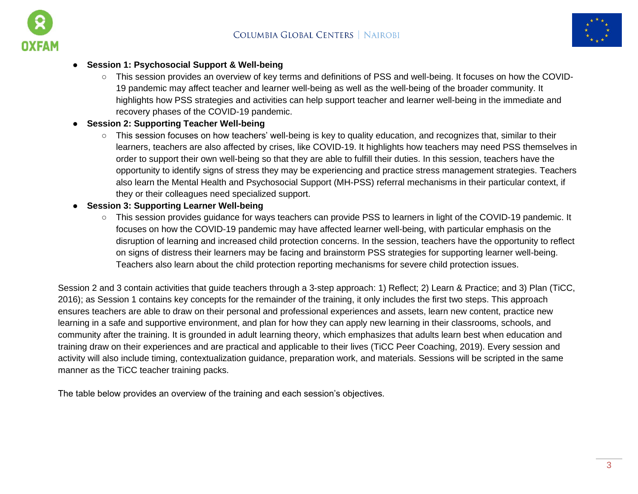



### ● **Session 1: Psychosocial Support & Well-being**

o This session provides an overview of key terms and definitions of PSS and well-being. It focuses on how the COVID-19 pandemic may affect teacher and learner well-being as well as the well-being of the broader community. It highlights how PSS strategies and activities can help support teacher and learner well-being in the immediate and recovery phases of the COVID-19 pandemic.

# **Session 2: Supporting Teacher Well-being**

- This session focuses on how teachers' well-being is key to quality education, and recognizes that, similar to their learners, teachers are also affected by crises, like COVID-19. It highlights how teachers may need PSS themselves in order to support their own well-being so that they are able to fulfill their duties. In this session, teachers have the opportunity to identify signs of stress they may be experiencing and practice stress management strategies. Teachers also learn the Mental Health and Psychosocial Support (MH-PSS) referral mechanisms in their particular context, if they or their colleagues need specialized support.
- **Session 3: Supporting Learner Well-being** 
	- This session provides guidance for ways teachers can provide PSS to learners in light of the COVID-19 pandemic. It focuses on how the COVID-19 pandemic may have affected learner well-being, with particular emphasis on the disruption of learning and increased child protection concerns. In the session, teachers have the opportunity to reflect on signs of distress their learners may be facing and brainstorm PSS strategies for supporting learner well-being. Teachers also learn about the child protection reporting mechanisms for severe child protection issues.

Session 2 and 3 contain activities that guide teachers through a 3-step approach: 1) Reflect; 2) Learn & Practice; and 3) Plan (TiCC, 2016); as Session 1 contains key concepts for the remainder of the training, it only includes the first two steps. This approach ensures teachers are able to draw on their personal and professional experiences and assets, learn new content, practice new learning in a safe and supportive environment, and plan for how they can apply new learning in their classrooms, schools, and community after the training. It is grounded in adult learning theory, which emphasizes that adults learn best when education and training draw on their experiences and are practical and applicable to their lives (TiCC Peer Coaching, 2019). Every session and activity will also include timing, contextualization guidance, preparation work, and materials. Sessions will be scripted in the same manner as the TiCC teacher training packs.

The table below provides an overview of the training and each session's objectives.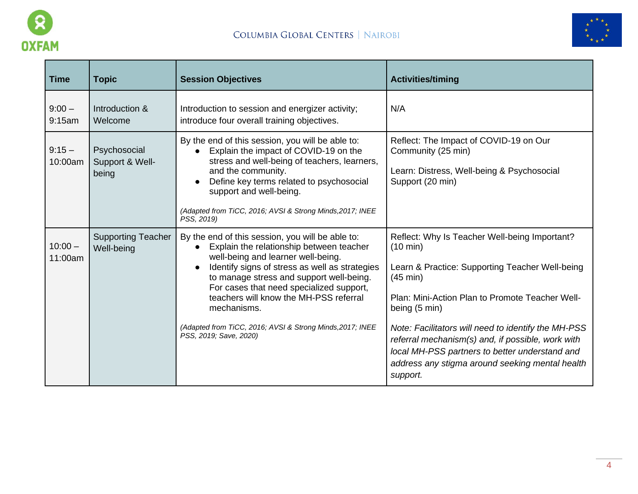



| <b>Time</b>          | <b>Topic</b>                             | <b>Session Objectives</b>                                                                                                                                                                                                                                                                                                                                                                                                    | <b>Activities/timing</b>                                                                                                                                                                                                                                                                                                                                                                                                                      |
|----------------------|------------------------------------------|------------------------------------------------------------------------------------------------------------------------------------------------------------------------------------------------------------------------------------------------------------------------------------------------------------------------------------------------------------------------------------------------------------------------------|-----------------------------------------------------------------------------------------------------------------------------------------------------------------------------------------------------------------------------------------------------------------------------------------------------------------------------------------------------------------------------------------------------------------------------------------------|
| $9:00 -$<br>9:15am   | Introduction &<br>Welcome                | Introduction to session and energizer activity;<br>introduce four overall training objectives.                                                                                                                                                                                                                                                                                                                               | N/A                                                                                                                                                                                                                                                                                                                                                                                                                                           |
| $9:15 -$<br>10:00am  | Psychosocial<br>Support & Well-<br>being | By the end of this session, you will be able to:<br>Explain the impact of COVID-19 on the<br>stress and well-being of teachers, learners,<br>and the community.<br>Define key terms related to psychosocial<br>support and well-being.<br>(Adapted from TiCC, 2016; AVSI & Strong Minds, 2017; INEE<br>PSS, 2019)                                                                                                            | Reflect: The Impact of COVID-19 on Our<br>Community (25 min)<br>Learn: Distress, Well-being & Psychosocial<br>Support (20 min)                                                                                                                                                                                                                                                                                                                |
| $10:00 -$<br>11:00am | <b>Supporting Teacher</b><br>Well-being  | By the end of this session, you will be able to:<br>Explain the relationship between teacher<br>well-being and learner well-being.<br>Identify signs of stress as well as strategies<br>to manage stress and support well-being.<br>For cases that need specialized support,<br>teachers will know the MH-PSS referral<br>mechanisms.<br>(Adapted from TiCC, 2016; AVSI & Strong Minds, 2017; INEE<br>PSS, 2019; Save, 2020) | Reflect: Why Is Teacher Well-being Important?<br>$(10 \text{ min})$<br>Learn & Practice: Supporting Teacher Well-being<br>$(45 \text{ min})$<br>Plan: Mini-Action Plan to Promote Teacher Well-<br>being (5 min)<br>Note: Facilitators will need to identify the MH-PSS<br>referral mechanism(s) and, if possible, work with<br>local MH-PSS partners to better understand and<br>address any stigma around seeking mental health<br>support. |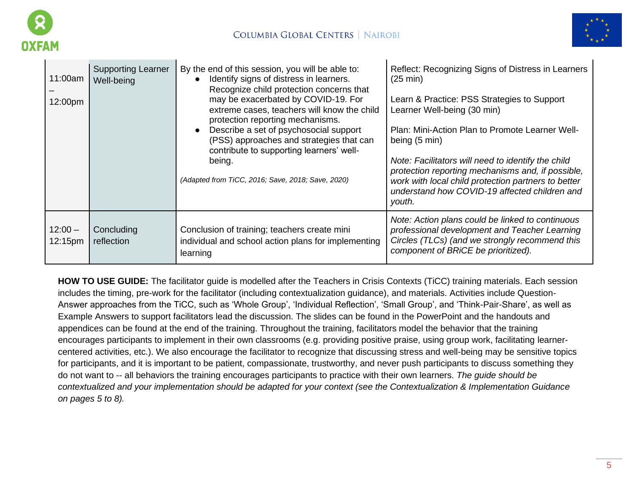



| 11:00am<br>12:00pm   | <b>Supporting Learner</b><br>Well-being | By the end of this session, you will be able to:<br>Identify signs of distress in learners.<br>Recognize child protection concerns that<br>may be exacerbated by COVID-19. For<br>extreme cases, teachers will know the child<br>protection reporting mechanisms.<br>Describe a set of psychosocial support<br>(PSS) approaches and strategies that can<br>contribute to supporting learners' well-<br>being.<br>(Adapted from TiCC, 2016; Save, 2018; Save, 2020) | Reflect: Recognizing Signs of Distress in Learners<br>$(25 \text{ min})$<br>Learn & Practice: PSS Strategies to Support<br>Learner Well-being (30 min)<br>Plan: Mini-Action Plan to Promote Learner Well-<br>being (5 min)<br>Note: Facilitators will need to identify the child<br>protection reporting mechanisms and, if possible,<br>work with local child protection partners to better<br>understand how COVID-19 affected children and<br>youth. |
|----------------------|-----------------------------------------|--------------------------------------------------------------------------------------------------------------------------------------------------------------------------------------------------------------------------------------------------------------------------------------------------------------------------------------------------------------------------------------------------------------------------------------------------------------------|---------------------------------------------------------------------------------------------------------------------------------------------------------------------------------------------------------------------------------------------------------------------------------------------------------------------------------------------------------------------------------------------------------------------------------------------------------|
| $12:00 -$<br>12:15pm | Concluding<br><i>reflection</i>         | Conclusion of training; teachers create mini<br>individual and school action plans for implementing<br>learning                                                                                                                                                                                                                                                                                                                                                    | Note: Action plans could be linked to continuous<br>professional development and Teacher Learning<br>Circles (TLCs) (and we strongly recommend this<br>component of BRICE be prioritized).                                                                                                                                                                                                                                                              |

**HOW TO USE GUIDE:** The facilitator guide is modelled after the Teachers in Crisis Contexts (TiCC) training materials. Each session includes the timing, pre-work for the facilitator (including contextualization guidance), and materials. Activities include Question-Answer approaches from the TiCC, such as 'Whole Group', 'Individual Reflection', 'Small Group', and 'Think-Pair-Share', as well as Example Answers to support facilitators lead the discussion. The slides can be found in the PowerPoint and the handouts and appendices can be found at the end of the training. Throughout the training, facilitators model the behavior that the training encourages participants to implement in their own classrooms (e.g. providing positive praise, using group work, facilitating learnercentered activities, etc.). We also encourage the facilitator to recognize that discussing stress and well-being may be sensitive topics for participants, and it is important to be patient, compassionate, trustworthy, and never push participants to discuss something they do not want to -- all behaviors the training encourages participants to practice with their own learners. *The guide should be contextualized and your implementation should be adapted for your context (see the Contextualization & Implementation Guidance on pages 5 to 8).*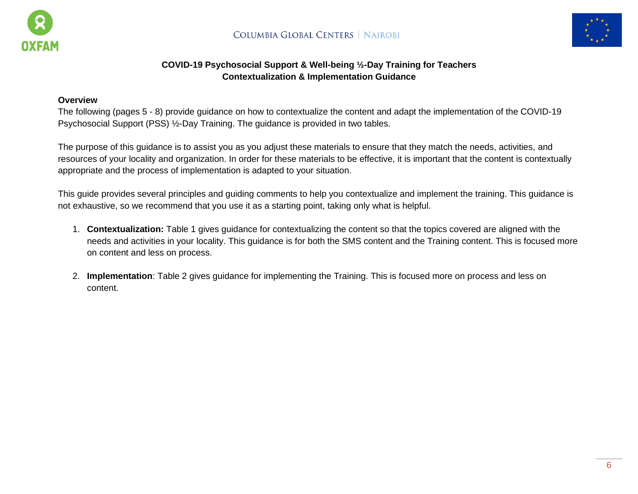



# **COVID-19 Psychosocial Support & Well-being ½-Day Training for Teachers Contextualization & Implementation Guidance**

#### **Overview**

The following (pages 5 - 8) provide guidance on how to contextualize the content and adapt the implementation of the COVID-19 Psychosocial Support (PSS) ½-Day Training. The guidance is provided in two tables.

The purpose of this guidance is to assist you as you adjust these materials to ensure that they match the needs, activities, and resources of your locality and organization. In order for these materials to be effective, it is important that the content is contextually appropriate and the process of implementation is adapted to your situation.

This guide provides several principles and guiding comments to help you contextualize and implement the training. This guidance is not exhaustive, so we recommend that you use it as a starting point, taking only what is helpful.

- 1. **Contextualization:** Table 1 gives guidance for contextualizing the content so that the topics covered are aligned with the needs and activities in your locality. This guidance is for both the SMS content and the Training content. This is focused more on content and less on process.
- 2. **Implementation**: Table 2 gives guidance for implementing the Training. This is focused more on process and less on content.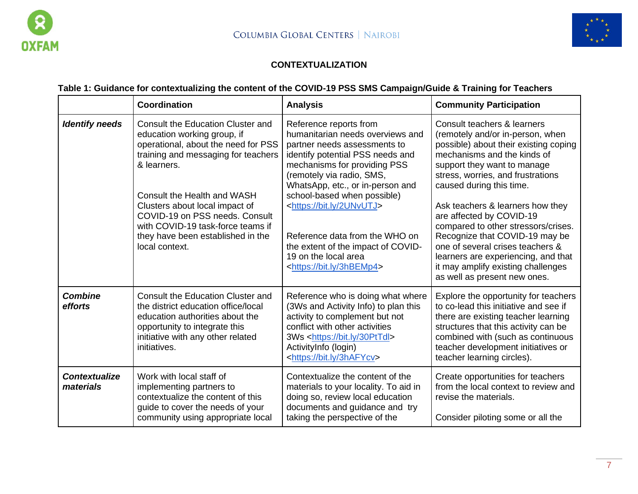



# **CONTEXTUALIZATION**

# **Table 1: Guidance for contextualizing the content of the COVID-19 PSS SMS Campaign/Guide & Training for Teachers**

|                                   | Coordination                                                                                                                                                                                                                                                                                                                                                        | <b>Analysis</b>                                                                                                                                                                                                                                                                                                                                                                                                                                        | <b>Community Participation</b>                                                                                                                                                                                                                                                                                                                                                                                                                                                                                                    |
|-----------------------------------|---------------------------------------------------------------------------------------------------------------------------------------------------------------------------------------------------------------------------------------------------------------------------------------------------------------------------------------------------------------------|--------------------------------------------------------------------------------------------------------------------------------------------------------------------------------------------------------------------------------------------------------------------------------------------------------------------------------------------------------------------------------------------------------------------------------------------------------|-----------------------------------------------------------------------------------------------------------------------------------------------------------------------------------------------------------------------------------------------------------------------------------------------------------------------------------------------------------------------------------------------------------------------------------------------------------------------------------------------------------------------------------|
| <b>Identify needs</b>             | <b>Consult the Education Cluster and</b><br>education working group, if<br>operational, about the need for PSS<br>training and messaging for teachers<br>& learners.<br>Consult the Health and WASH<br>Clusters about local impact of<br>COVID-19 on PSS needs, Consult<br>with COVID-19 task-force teams if<br>they have been established in the<br>local context. | Reference reports from<br>humanitarian needs overviews and<br>partner needs assessments to<br>identify potential PSS needs and<br>mechanisms for providing PSS<br>(remotely via radio, SMS,<br>WhatsApp, etc., or in-person and<br>school-based when possible)<br><https: 2unvutj="" bit.ly=""><br/>Reference data from the WHO on<br/>the extent of the impact of COVID-<br/>19 on the local area<br/><https: 3hbemp4="" bit.ly=""></https:></https:> | Consult teachers & learners<br>(remotely and/or in-person, when<br>possible) about their existing coping<br>mechanisms and the kinds of<br>support they want to manage<br>stress, worries, and frustrations<br>caused during this time.<br>Ask teachers & learners how they<br>are affected by COVID-19<br>compared to other stressors/crises.<br>Recognize that COVID-19 may be<br>one of several crises teachers &<br>learners are experiencing, and that<br>it may amplify existing challenges<br>as well as present new ones. |
| <b>Combine</b><br>efforts         | Consult the Education Cluster and<br>the district education office/local<br>education authorities about the<br>opportunity to integrate this<br>initiative with any other related<br>initiatives.                                                                                                                                                                   | Reference who is doing what where<br>(3Ws and Activity Info) to plan this<br>activity to complement but not<br>conflict with other activities<br>3Ws <https: 30pttdl="" bit.ly=""><br/>ActivityInfo (login)<br/><https: 3hafycv="" bit.ly=""></https:></https:>                                                                                                                                                                                        | Explore the opportunity for teachers<br>to co-lead this initiative and see if<br>there are existing teacher learning<br>structures that this activity can be<br>combined with (such as continuous<br>teacher development initiatives or<br>teacher learning circles).                                                                                                                                                                                                                                                             |
| <b>Contextualize</b><br>materials | Work with local staff of<br>implementing partners to<br>contextualize the content of this<br>guide to cover the needs of your<br>community using appropriate local                                                                                                                                                                                                  | Contextualize the content of the<br>materials to your locality. To aid in<br>doing so, review local education<br>documents and guidance and try<br>taking the perspective of the                                                                                                                                                                                                                                                                       | Create opportunities for teachers<br>from the local context to review and<br>revise the materials.<br>Consider piloting some or all the                                                                                                                                                                                                                                                                                                                                                                                           |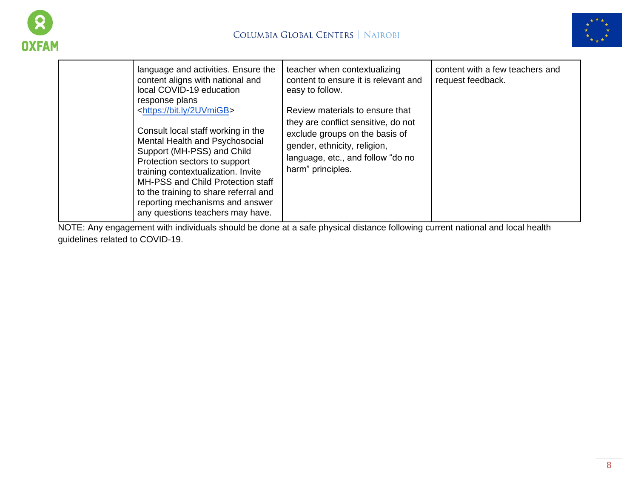



| language and activities. Ensure the<br>content aligns with national and<br>local COVID-19 education<br>response plans                                                                                                                                                                                                                                                             | teacher when contextualizing<br>content to ensure it is relevant and<br>easy to follow.                                                                                                            | content with a few teachers and<br>request feedback. |
|-----------------------------------------------------------------------------------------------------------------------------------------------------------------------------------------------------------------------------------------------------------------------------------------------------------------------------------------------------------------------------------|----------------------------------------------------------------------------------------------------------------------------------------------------------------------------------------------------|------------------------------------------------------|
| <https: 2uvmigb="" bit.ly=""><br/>Consult local staff working in the<br/>Mental Health and Psychosocial<br/>Support (MH-PSS) and Child<br/>Protection sectors to support<br/>training contextualization. Invite<br/>MH-PSS and Child Protection staff<br/>to the training to share referral and<br/>reporting mechanisms and answer<br/>any questions teachers may have.</https:> | Review materials to ensure that<br>they are conflict sensitive, do not<br>exclude groups on the basis of<br>gender, ethnicity, religion,<br>language, etc., and follow "do no<br>harm" principles. |                                                      |

NOTE: Any engagement with individuals should be done at a safe physical distance following current national and local health guidelines related to COVID-19.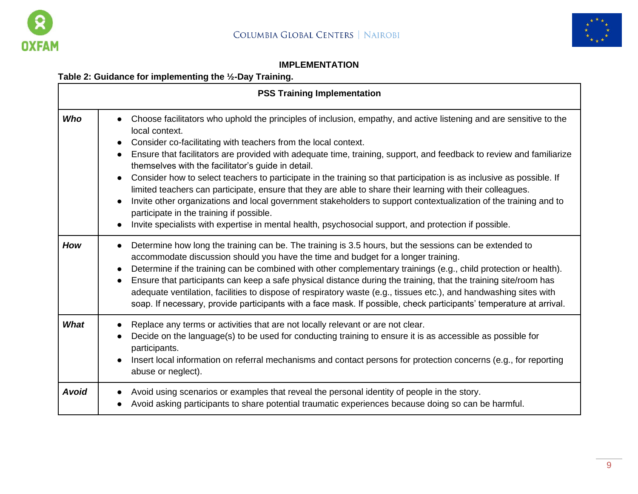



### **IMPLEMENTATION**

# **Table 2: Guidance for implementing the ½-Day Training.**

|              | <b>PSS Training Implementation</b>                                                                                                                                                                                                                                                                                                                                                                                                                                                                                                                                                                                                                                                                                                                                                                                                                                                                                           |
|--------------|------------------------------------------------------------------------------------------------------------------------------------------------------------------------------------------------------------------------------------------------------------------------------------------------------------------------------------------------------------------------------------------------------------------------------------------------------------------------------------------------------------------------------------------------------------------------------------------------------------------------------------------------------------------------------------------------------------------------------------------------------------------------------------------------------------------------------------------------------------------------------------------------------------------------------|
| <b>Who</b>   | Choose facilitators who uphold the principles of inclusion, empathy, and active listening and are sensitive to the<br>local context.<br>Consider co-facilitating with teachers from the local context.<br>Ensure that facilitators are provided with adequate time, training, support, and feedback to review and familiarize<br>$\bullet$<br>themselves with the facilitator's guide in detail.<br>Consider how to select teachers to participate in the training so that participation is as inclusive as possible. If<br>$\bullet$<br>limited teachers can participate, ensure that they are able to share their learning with their colleagues.<br>Invite other organizations and local government stakeholders to support contextualization of the training and to<br>participate in the training if possible.<br>Invite specialists with expertise in mental health, psychosocial support, and protection if possible. |
| How          | Determine how long the training can be. The training is 3.5 hours, but the sessions can be extended to<br>accommodate discussion should you have the time and budget for a longer training.<br>Determine if the training can be combined with other complementary trainings (e.g., child protection or health).<br>Ensure that participants can keep a safe physical distance during the training, that the training site/room has<br>adequate ventilation, facilities to dispose of respiratory waste (e.g., tissues etc.), and handwashing sites with<br>soap. If necessary, provide participants with a face mask. If possible, check participants' temperature at arrival.                                                                                                                                                                                                                                               |
| What         | Replace any terms or activities that are not locally relevant or are not clear.<br>Decide on the language(s) to be used for conducting training to ensure it is as accessible as possible for<br>participants.<br>Insert local information on referral mechanisms and contact persons for protection concerns (e.g., for reporting<br>abuse or neglect).                                                                                                                                                                                                                                                                                                                                                                                                                                                                                                                                                                     |
| <b>Avoid</b> | Avoid using scenarios or examples that reveal the personal identity of people in the story.<br>Avoid asking participants to share potential traumatic experiences because doing so can be harmful.                                                                                                                                                                                                                                                                                                                                                                                                                                                                                                                                                                                                                                                                                                                           |